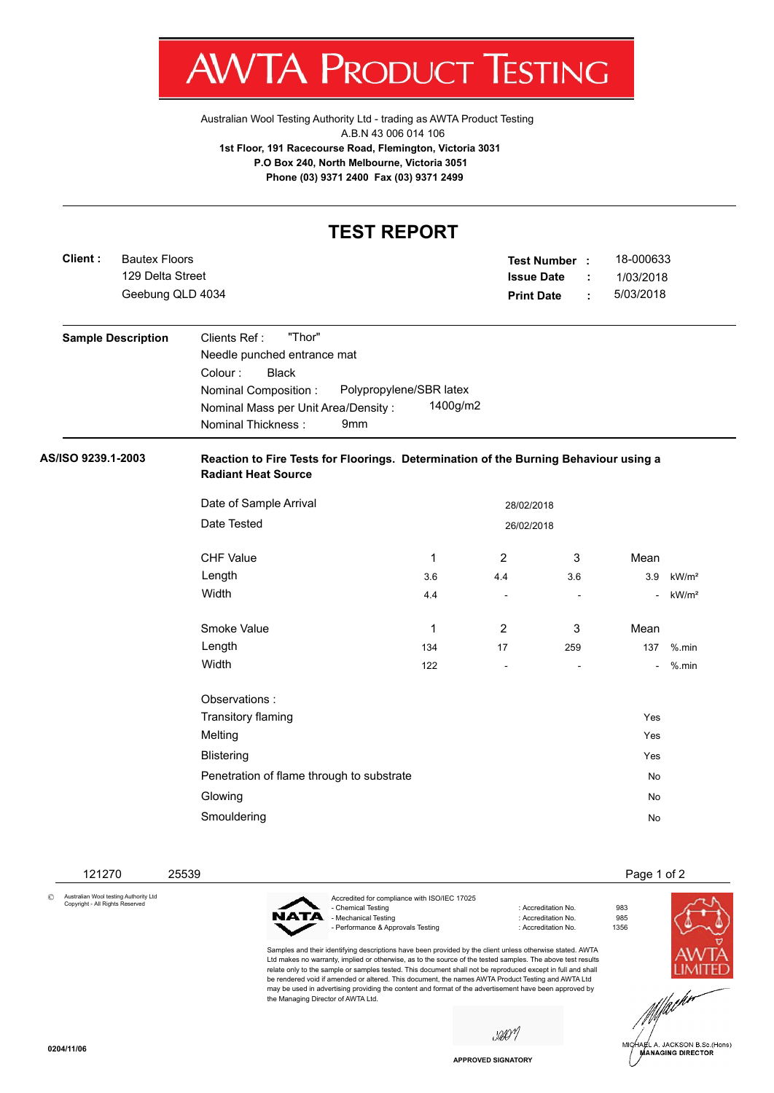JC T ESTING

[Australian Wool Testing Authority Ltd - trading as AWTA Product Testing](http://www.awtaproducttesting.com.au/) A.B.N 43 006 014 106 **1st Floor, 191 Racecourse Road, Flemington, Victoria 3031 P.O Box 240, North Melbourne, Victoria 3051 Phone (03) 9371 2400 Fax (03) 9371 2499**

## **TEST REPORT Client :** 129 Delta Street **Test Number : Issue Date :** 18-000633 Geebung QLD 4034 **Print Date :** 5/03/2018 Bautex Floors 1/03/2018 **Sample Description** Clients Ref : "Thor" Needle punched entrance mat Colour : Black Nominal Composition : Polypropylene/SBR latex Nominal Mass per Unit Area/Density : 1400g/m2 Nominal Thickness : 9mm **AS/ISO 9239.1-2003 Reaction to Fire Tests for Floorings. Determination of the Burning Behaviour using a Radiant Heat Source** Date of Sample Arrival 28/02/2018 Date Tested 26/02/2018 CHF Value 2 3 Mean Length 3.6 4.4 3.6 3.9 kW/m²  $\text{Width}$  . The contract of the contract of the contract of the contract of the contract of the contract of the contract of the contract of the contract of the contract of the contract of the contract of the contract of the Smoke Value **1** 2 3 Mean Length 134 17 259 137 %.min Width 122 - - - %.min Observations : Transitory flaming **Yes** Melting Yes **Blistering Yes and Security Contract Contract Contract Contract Contract Contract Contract Contract Contract Contract Contract Contract Contract Contract Contract Contract Contract Contract Contract Contract Contract Cont** Penetration of flame through to substrate No when the No which has no whole No which has no whole No which has no which has no which has no which has no which has no which has no which has no which has no which has no whic Glowing No. 2006. In the second contract of the second contract of the second contract of the second contract of the second contract of the second contract of the second contract of the second contract of the second contra Smouldering No. 2006. The Smouldering No. 2006. The Smouldering No. 2006. The Smouldering No. 2006. The Smouldering No. 2006. The Smouldering Smouldering Smouldering Smouldering Smouldering Smouldering Smouldering Smoulder

 121270 25539 Page 1 of 2 © Australian Wool testing Authority Ltd Copyright - All Rights Reserved Accredited for compliance with ISO/IEC 17025 - Chemical Testing : Accreditation No. 983 - Mechanical Testing : Accreditation No. 985 - Performance & Approvals Testing

Samples and their identifying descriptions have been provided by the client unless otherwise stated. AWTA Ltd makes no warranty, implied or otherwise, as to the source of the tested samples. The above test results relate only to the sample or samples tested. This document shall not be reproduced except in full and shall be rendered void if amended or altered. This document, the names AWTA Product Testing and AWTA Ltd may be used in advertising providing the content and format of the advertisement have been approved by the Managing Director of AWTA Ltd.





A. JACKSON B.Sc.(Hons) **MANAGING DIRECTOR** 

**APPROVED SIGNATORY**